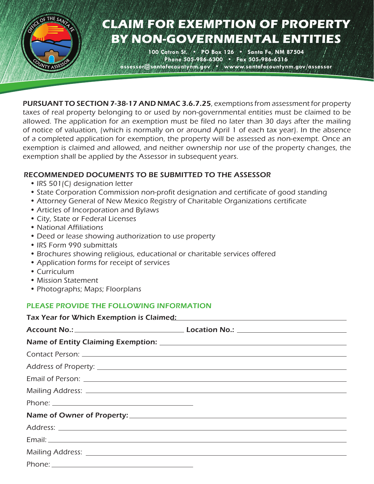

# **CLAIM FOR EXEMPTION OF PROPERTY BY NON-GOVERNMENTAL ENTITIES**

**100 Catron St. • PO Box 126 • Santa Fe, NM 87504 Phone 505-986-6300 • Fax 505-986-6316 assessor@santafecountynm.gov • wwww.santafecountynm.gov/assessor**

PURSUANT TO SECTION 7-38-17 AND NMAC 3.6.7.25, exemptions from assessment for property taxes of real property belonging to or used by non-governmental entities must be claimed to be allowed. The application for an exemption must be filed no later than 30 days after the mailing of notice of valuation, (which is normally on or around April 1 of each tax year). In the absence of a completed application for exemption, the property will be assessed as non-exempt. Once an exemption is claimed and allowed, and neither ownership nor use of the property changes, the exemption shall be applied by the Assessor in subsequent years.

### RECOMMENDED DOCUMENTS TO BE SUBMITTED TO THE ASSESSOR

- IRS 501(C) designation letter
- *•* State Corporation Commission non-profit designation and certificate of good standing
- *•* Attorney General of New Mexico Registry of Charitable Organizations certificate
- *•* Articles of Incorporation and Bylaws
- *•* City, State or Federal Licenses
- *•* National Affiliations
- *•* Deed or lease showing authorization to use property
- IRS Form 990 submittals
- *•* Brochures showing religious, educational or charitable services offered
- *•* Application forms for receipt of services
- *•* Curriculum
- *•* Mission Statement
- *•* Photographs; Maps; Floorplans

### PLEASE PROVIDE THE FOLLOWING INFORMATION

| Tax Year for Which Exemption is Claimed: Name of the Claim of the Claim of the Claim of the Claim of the Claim |
|----------------------------------------------------------------------------------------------------------------|
|                                                                                                                |
|                                                                                                                |
|                                                                                                                |
|                                                                                                                |
|                                                                                                                |
|                                                                                                                |
|                                                                                                                |
|                                                                                                                |
|                                                                                                                |
|                                                                                                                |
|                                                                                                                |
|                                                                                                                |